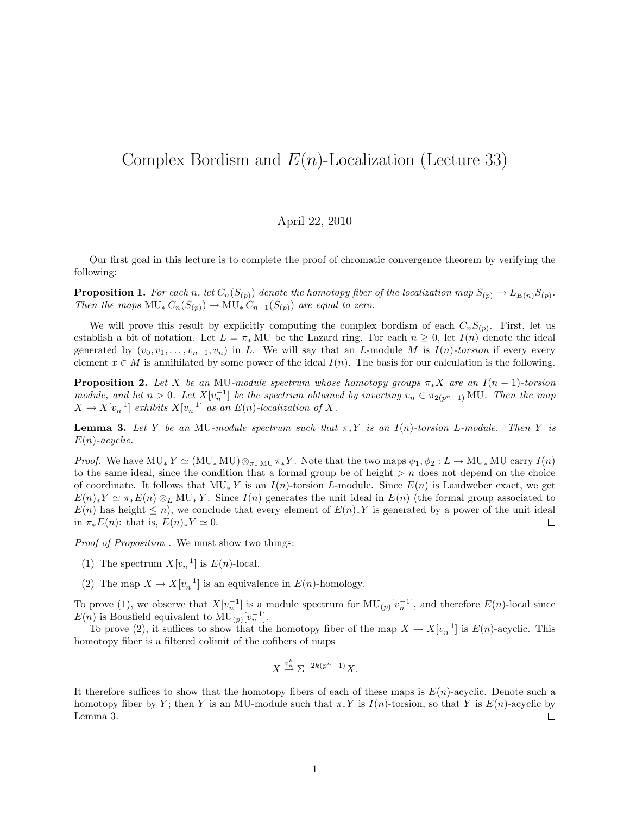## Complex Bordism and  $E(n)$ -Localization (Lecture 33)

## April 22, 2010

Our first goal in this lecture is to complete the proof of chromatic convergence theorem by verifying the following:

**Proposition 1.** For each n, let  $C_n(S_{(p)})$  denote the homotopy fiber of the localization map  $S_{(p)} \to L_{E(n)}S_{(p)}$ . Then the maps  $MU_* C_n(S_{(p)}) \to MU_* C_{n-1}(S_{(p)})$  are equal to zero.

We will prove this result by explicitly computing the complex bordism of each  $C_nS_{(p)}$ . First, let us establish a bit of notation. Let  $L = \pi_* MU$  be the Lazard ring. For each  $n \geq 0$ , let  $I(n)$  denote the ideal generated by  $(v_0, v_1, \ldots, v_{n-1}, v_n)$  in L. We will say that an L-module M is  $I(n)$ -torsion if every every element  $x \in M$  is annihilated by some power of the ideal  $I(n)$ . The basis for our calculation is the following.

**Proposition 2.** Let X be an MU-module spectrum whose homotopy groups  $\pi_* X$  are an I(n – 1)-torsion module, and let  $n > 0$ . Let  $X[v_n^{-1}]$  be the spectrum obtained by inverting  $v_n \in \pi_{2(p^n-1)}$  MU. Then the map  $X \to X[v_n^{-1}]$  exhibits  $X[v_n^{-1}]$  as an  $E(n)$ -localization of X.

**Lemma 3.** Let Y be an MU-module spectrum such that  $\pi_* Y$  is an I(n)-torsion L-module. Then Y is  $E(n)$ -acyclic.

*Proof.* We have  $MU_* Y \simeq (MU_* MU) \otimes_{\pi_* MU} \pi_* Y$ . Note that the two maps  $\phi_1, \phi_2 : L \to MU_* MU$  carry  $I(n)$ to the same ideal, since the condition that a formal group be of height  $>n$  does not depend on the choice of coordinate. It follows that  $MU_* Y$  is an  $I(n)$ -torsion L-module. Since  $E(n)$  is Landweber exact, we get  $E(n)_*Y \simeq \pi_*E(n) \otimes_L MU_*Y$ . Since  $I(n)$  generates the unit ideal in  $E(n)$  (the formal group associated to  $E(n)$  has height  $\leq n$ , we conclude that every element of  $E(n)_*Y$  is generated by a power of the unit ideal in  $\pi_* E(n)$ : that is,  $E(n)_* Y \simeq 0$ .  $\Box$ 

Proof of Proposition . We must show two things:

- (1) The spectrum  $X[v_n^{-1}]$  is  $E(n)$ -local.
- (2) The map  $X \to X[v_n^{-1}]$  is an equivalence in  $E(n)$ -homology.

To prove (1), we observe that  $X[v_n^{-1}]$  is a module spectrum for  $MU_{(p)}[v_n^{-1}]$ , and therefore  $E(n)$ -local since  $E(n)$  is Bousfield equivalent to  $MU_{(p)}[v_n^{-1}].$ 

To prove (2), it suffices to show that the homotopy fiber of the map  $X \to X[v_n^{-1}]$  is  $E(n)$ -acyclic. This homotopy fiber is a filtered colimit of the cofibers of maps

$$
X \stackrel{v_n^k}{\to} \Sigma^{-2k(p^n-1)}X.
$$

It therefore suffices to show that the homotopy fibers of each of these maps is  $E(n)$ -acyclic. Denote such a homotopy fiber by Y; then Y is an MU-module such that  $\pi_* Y$  is  $I(n)$ -torsion, so that Y is  $E(n)$ -acyclic by Lemma 3.  $\Box$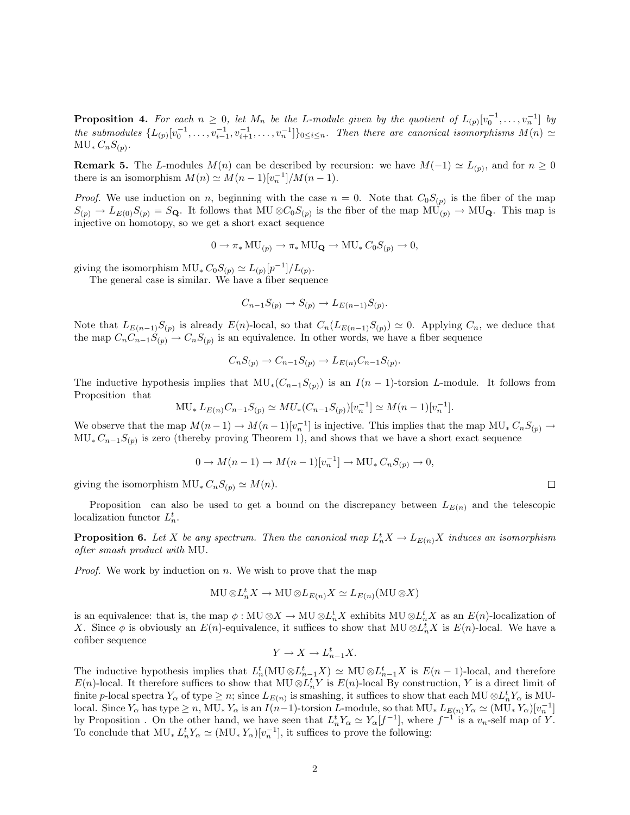**Proposition 4.** For each  $n \geq 0$ , let  $M_n$  be the L-module given by the quotient of  $L_{(p)}[v_0^{-1}, \ldots, v_n^{-1}]$  by the submodules  $\{L_{(p)}[v_0^{-1},\ldots,v_{i-1}^{-1},v_{i+1}^{-1},\ldots,v_n^{-1}]\}_{0\leq i\leq n}$ . Then there are canonical isomorphisms  $M(n) \simeq$  $MU_* C_n S_{(p)}.$ 

**Remark 5.** The L-modules  $M(n)$  can be described by recursion: we have  $M(-1) \simeq L_{(p)}$ , and for  $n \geq 0$ there is an isomorphism  $M(n) \simeq M(n-1)[v_n^{-1}]/M(n-1)$ .

*Proof.* We use induction on n, beginning with the case  $n = 0$ . Note that  $C_0S_{(p)}$  is the fiber of the map  $S_{(p)} \to L_{E(0)}S_{(p)} = S_{\mathbf{Q}}$ . It follows that MU  $\otimes C_0S_{(p)}$  is the fiber of the map MU<sub>(p)</sub>  $\to$  MU<sub>Q</sub>. This map is injective on homotopy, so we get a short exact sequence

$$
0 \to \pi_* MU_{(p)} \to \pi_* MU_{\mathbf{Q}} \to MU_* C_0 S_{(p)} \to 0,
$$

giving the isomorphism  $MU_* C_0 S_{(p)} \simeq L_{(p)}[p^{-1}]/L_{(p)}$ .

The general case is similar. We have a fiber sequence

$$
C_{n-1}S_{(p)} \to S_{(p)} \to L_{E(n-1)}S_{(p)}
$$
.

Note that  $L_{E(n-1)}S_{(p)}$  is already  $E(n)$ -local, so that  $C_n(L_{E(n-1)}S_{(p)}) \simeq 0$ . Applying  $C_n$ , we deduce that the map  $C_nC_{n-1}S_{(p)} \to C_nS_{(p)}$  is an equivalence. In other words, we have a fiber sequence

$$
C_nS_{(p)} \to C_{n-1}S_{(p)} \to L_{E(n)}C_{n-1}S_{(p)}.
$$

The inductive hypothesis implies that  $MU_*(C_{n-1}S_{(p)})$  is an  $I(n-1)$ -torsion L-module. It follows from Proposition that

$$
MU_* L_{E(n)}C_{n-1}S_{(p)} \simeq MU_* (C_{n-1}S_{(p)})[v_n^{-1}] \simeq M(n-1)[v_n^{-1}].
$$

We observe that the map  $M(n-1) \to M(n-1)[v_n^{-1}]$  is injective. This implies that the map  $MU_* C_nS_{(p)} \to$  $MU_* C_{n-1}S_{(p)}$  is zero (thereby proving Theorem 1), and shows that we have a short exact sequence

$$
0 \to M(n-1) \to M(n-1)[v_n^{-1}] \to \text{MU}_* C_n S_{(p)} \to 0,
$$

giving the isomorphism  $MU_* C_nS_{(p)} \simeq M(n)$ .

Proposition can also be used to get a bound on the discrepancy between  $L_{E(n)}$  and the telescopic localization functor  $L_n^t$ .

**Proposition 6.** Let X be any spectrum. Then the canonical map  $L_n^t X \to L_{E(n)} X$  induces an isomorphism after smash product with MU.

*Proof.* We work by induction on  $n$ . We wish to prove that the map

$$
\mathbf{MU}\otimes L_n^t X \to \mathbf{MU}\otimes L_{E(n)} X \simeq L_{E(n)}(\mathbf{MU}\otimes X)
$$

is an equivalence: that is, the map  $\phi: MU \otimes X \to MU \otimes L_n^t X$  exhibits  $MU \otimes L_n^t X$  as an  $E(n)$ -localization of X. Since  $\phi$  is obviously an  $E(n)$ -equivalence, it suffices to show that MU ⊗ $L_n^t X$  is  $E(n)$ -local. We have a cofiber sequence

$$
Y \to X \to L_{n-1}^t X.
$$

The inductive hypothesis implies that  $L_n^t(MU \otimes L_{n-1}^t X) \simeq MU \otimes L_{n-1}^t X$  is  $E(n-1)$ -local, and therefore  $E(n)$ -local. It therefore suffices to show that MU  $\otimes L_n^t Y$  is  $E(n)$ -local By construction, Y is a direct limit of finite p-local spectra  $Y_\alpha$  of type  $\geq n$ ; since  $L_{E(n)}$  is smashing, it suffices to show that each MU  $\otimes L_n^t Y_\alpha$  is MUlocal. Since  $Y_{\alpha}$  has type  $\geq n$ , MU<sub>\*</sub>  $Y_{\alpha}$  is an  $I(n-1)$ -torsion L-module, so that MU<sub>\*</sub>  $L_{E(n)}Y_{\alpha} \simeq (\text{MU}_{*} Y_{\alpha})[v_{n}^{-1}]$ by Proposition. On the other hand, we have seen that  $L_n^t Y_\alpha \simeq Y_\alpha[f^{-1}]$ , where  $f^{-1}$  is a  $v_n$ -self map of Y. To conclude that  $MU_* L_n^t Y_\alpha \simeq (MU_* Y_\alpha)[v_n^{-1}]$ , it suffices to prove the following:

 $\Box$